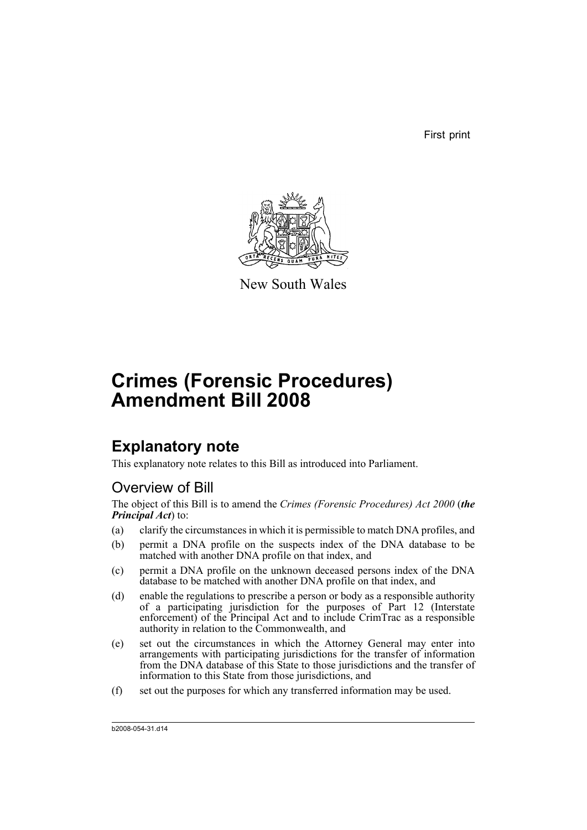First print



New South Wales

# **Crimes (Forensic Procedures) Amendment Bill 2008**

## **Explanatory note**

This explanatory note relates to this Bill as introduced into Parliament.

### Overview of Bill

The object of this Bill is to amend the *Crimes (Forensic Procedures) Act 2000* (*the Principal Act*) to:

- (a) clarify the circumstances in which it is permissible to match DNA profiles, and
- (b) permit a DNA profile on the suspects index of the DNA database to be matched with another DNA profile on that index, and
- (c) permit a DNA profile on the unknown deceased persons index of the DNA database to be matched with another DNA profile on that index, and
- (d) enable the regulations to prescribe a person or body as a responsible authority of a participating jurisdiction for the purposes of Part 12 (Interstate enforcement) of the Principal Act and to include CrimTrac as a responsible authority in relation to the Commonwealth, and
- (e) set out the circumstances in which the Attorney General may enter into arrangements with participating jurisdictions for the transfer of information from the DNA database of this State to those jurisdictions and the transfer of information to this State from those jurisdictions, and
- (f) set out the purposes for which any transferred information may be used.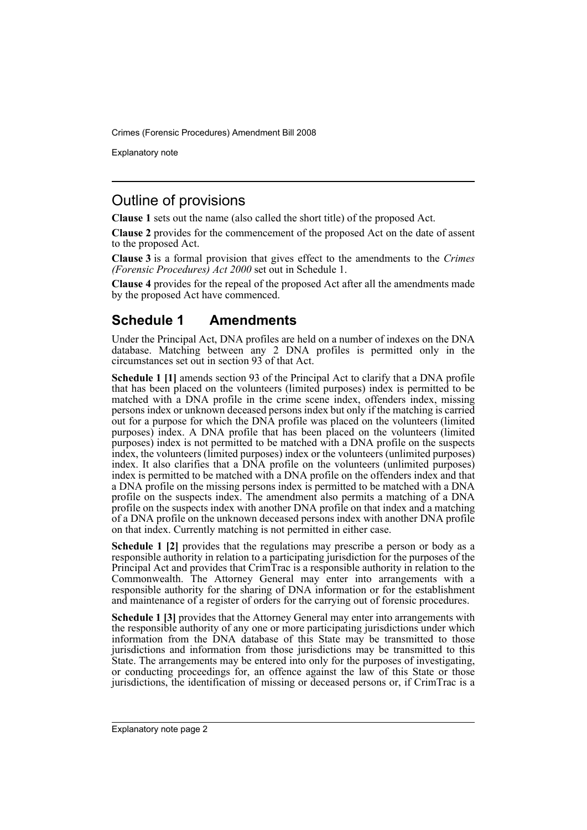Explanatory note

### Outline of provisions

**Clause 1** sets out the name (also called the short title) of the proposed Act.

**Clause 2** provides for the commencement of the proposed Act on the date of assent to the proposed Act.

**Clause 3** is a formal provision that gives effect to the amendments to the *Crimes (Forensic Procedures) Act 2000* set out in Schedule 1.

**Clause 4** provides for the repeal of the proposed Act after all the amendments made by the proposed Act have commenced.

### **Schedule 1 Amendments**

Under the Principal Act, DNA profiles are held on a number of indexes on the DNA database. Matching between any 2 DNA profiles is permitted only in the circumstances set out in section 93 of that Act.

**Schedule 1 [1]** amends section 93 of the Principal Act to clarify that a DNA profile that has been placed on the volunteers (limited purposes) index is permitted to be matched with a DNA profile in the crime scene index, offenders index, missing persons index or unknown deceased persons index but only if the matching is carried out for a purpose for which the DNA profile was placed on the volunteers (limited purposes) index. A DNA profile that has been placed on the volunteers (limited purposes) index is not permitted to be matched with a DNA profile on the suspects index, the volunteers (limited purposes) index or the volunteers (unlimited purposes) index. It also clarifies that a DNA profile on the volunteers (unlimited purposes) index. index is permitted to be matched with a DNA profile on the offenders index and that a DNA profile on the missing persons index is permitted to be matched with a DNA profile on the suspects index. The amendment also permits a matching of a DNA profile on the suspects index with another DNA profile on that index and a matching of a DNA profile on the unknown deceased persons index with another DNA profile on that index. Currently matching is not permitted in either case.

**Schedule 1 [2]** provides that the regulations may prescribe a person or body as a responsible authority in relation to a participating jurisdiction for the purposes of the Principal Act and provides that CrimTrac is a responsible authority in relation to the Commonwealth. The Attorney General may enter into arrangements with a responsible authority for the sharing of DNA information or for the establishment and maintenance of a register of orders for the carrying out of forensic procedures.

**Schedule 1 [3]** provides that the Attorney General may enter into arrangements with the responsible authority of any one or more participating jurisdictions under which information from the DNA database of this State may be transmitted to those jurisdictions and information from those jurisdictions may be transmitted to this State. The arrangements may be entered into only for the purposes of investigating, or conducting proceedings for, an offence against the law of this State or those jurisdictions, the identification of missing or deceased persons or, if CrimTrac is a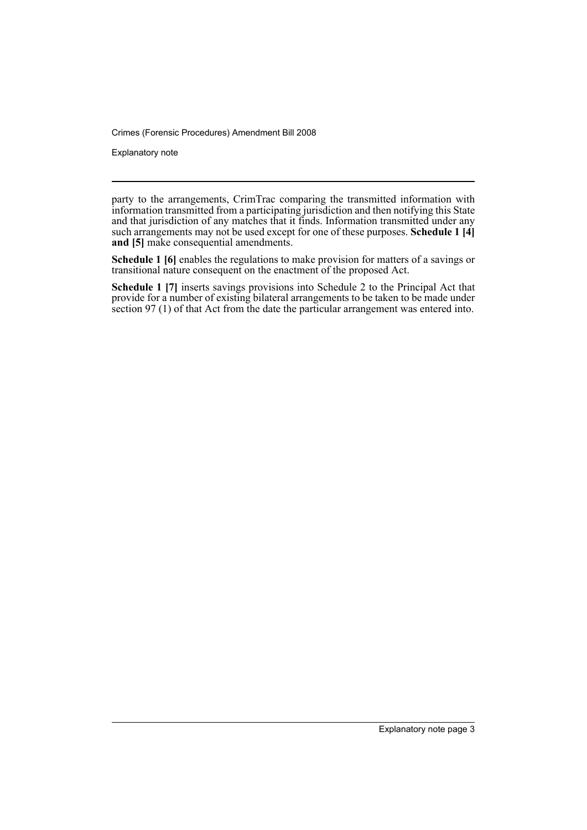Explanatory note

party to the arrangements, CrimTrac comparing the transmitted information with information transmitted from a participating jurisdiction and then notifying this State and that jurisdiction of any matches that it finds. Information transmitted under any such arrangements may not be used except for one of these purposes. **Schedule 1 [4] and [5]** make consequential amendments.

**Schedule 1 [6]** enables the regulations to make provision for matters of a savings or transitional nature consequent on the enactment of the proposed Act.

**Schedule 1 [7]** inserts savings provisions into Schedule 2 to the Principal Act that provide for a number of existing bilateral arrangements to be taken to be made under section 97 (1) of that Act from the date the particular arrangement was entered into.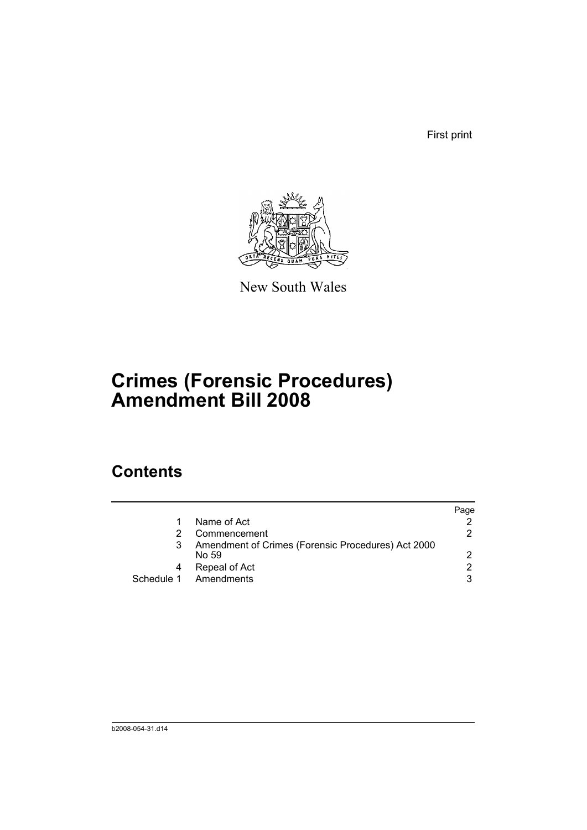First print



New South Wales

# **Crimes (Forensic Procedures) Amendment Bill 2008**

## **Contents**

|   |                                                             | Page          |
|---|-------------------------------------------------------------|---------------|
|   | Name of Act                                                 |               |
|   | Commencement                                                | 2             |
|   | Amendment of Crimes (Forensic Procedures) Act 2000<br>No 59 | $\mathcal{P}$ |
| 4 | Repeal of Act                                               | 2             |
|   | Schedule 1 Amendments                                       | 3             |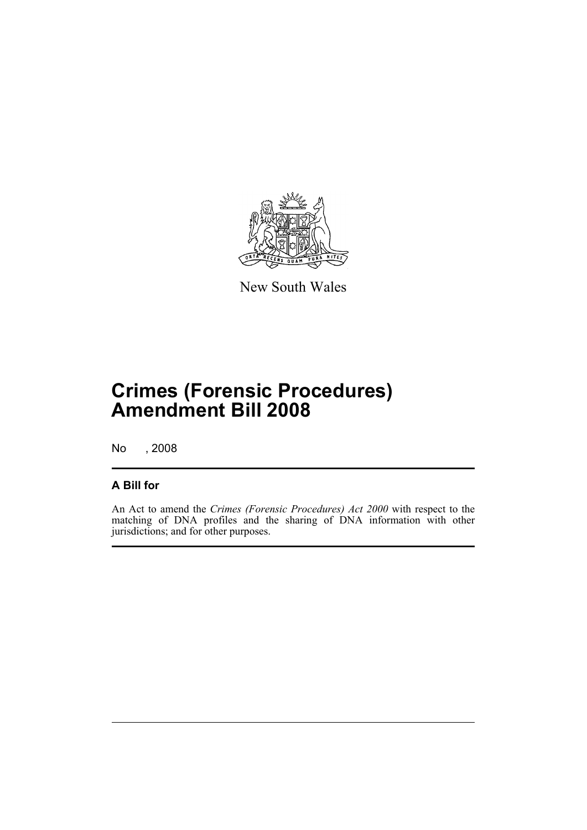

New South Wales

## **Crimes (Forensic Procedures) Amendment Bill 2008**

No , 2008

### **A Bill for**

An Act to amend the *Crimes (Forensic Procedures) Act 2000* with respect to the matching of DNA profiles and the sharing of DNA information with other jurisdictions; and for other purposes.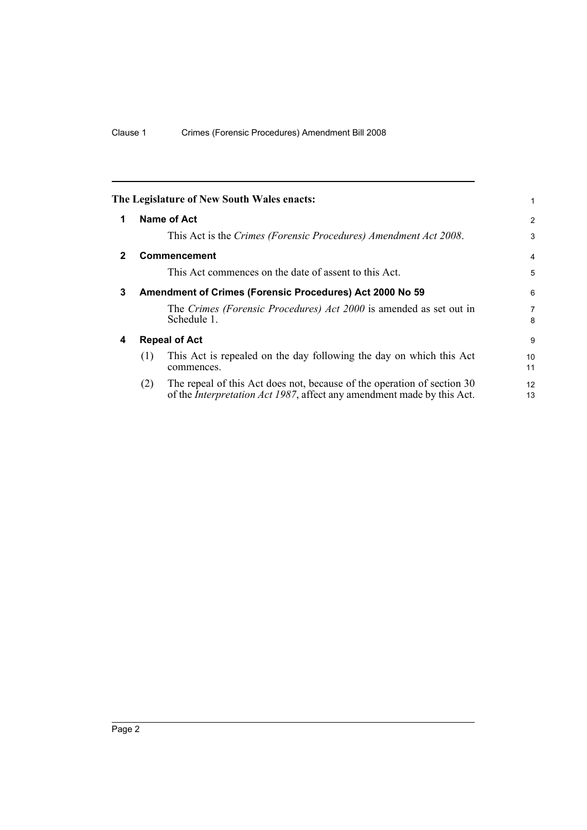<span id="page-7-3"></span><span id="page-7-2"></span><span id="page-7-1"></span><span id="page-7-0"></span>

|              | The Legislature of New South Wales enacts:                                                                                                                       |  | 1              |  |  |
|--------------|------------------------------------------------------------------------------------------------------------------------------------------------------------------|--|----------------|--|--|
| $\mathbf 1$  | Name of Act                                                                                                                                                      |  | $\overline{2}$ |  |  |
|              | This Act is the Crimes (Forensic Procedures) Amendment Act 2008.                                                                                                 |  | 3              |  |  |
| $\mathbf{2}$ | <b>Commencement</b>                                                                                                                                              |  | 4              |  |  |
|              | This Act commences on the date of assent to this Act.                                                                                                            |  | 5              |  |  |
| 3            | Amendment of Crimes (Forensic Procedures) Act 2000 No 59                                                                                                         |  | 6              |  |  |
|              | The Crimes (Forensic Procedures) Act 2000 is amended as set out in<br>Schedule 1.                                                                                |  | 7<br>8         |  |  |
| 4            | <b>Repeal of Act</b>                                                                                                                                             |  |                |  |  |
|              | This Act is repealed on the day following the day on which this Act<br>(1)<br>commences.                                                                         |  | 10<br>11       |  |  |
|              | The repeal of this Act does not, because of the operation of section 30<br>(2)<br>of the <i>Interpretation Act 1987</i> , affect any amendment made by this Act. |  | 12<br>13       |  |  |
|              |                                                                                                                                                                  |  |                |  |  |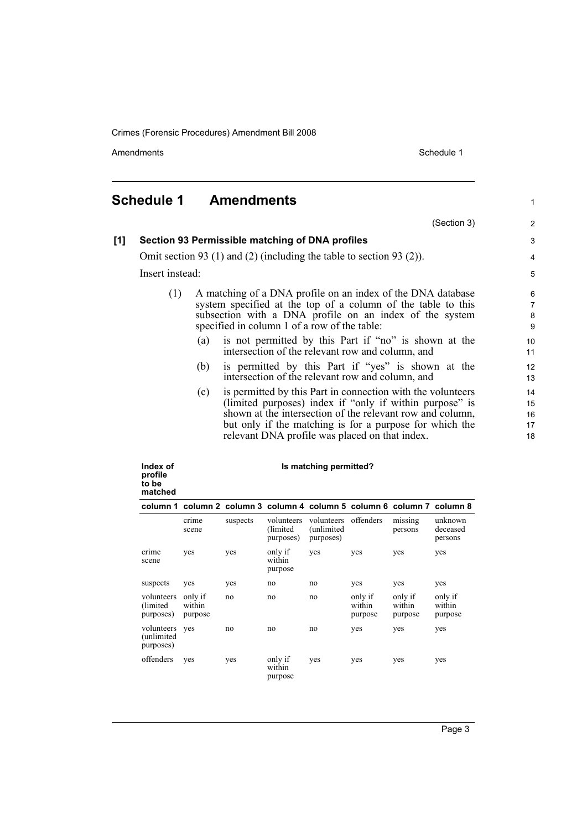Amendments **Schedule 1** and the set of the set of the set of the set of the set of the set of the set of the set of the set of the set of the set of the set of the set of the set of the set of the set of the set of the set

### <span id="page-8-0"></span>**Schedule 1 Amendments**

(Section 3)

### 3 4 5

1

 $\overline{2}$ 

#### **[1] Section 93 Permissible matching of DNA profiles**

Omit section 93 (1) and (2) (including the table to section 93 (2)).

Insert instead:

- (1) A matching of a DNA profile on an index of the DNA database system specified at the top of a column of the table to this subsection with a DNA profile on an index of the system specified in column 1 of a row of the table:
	- (a) is not permitted by this Part if "no" is shown at the intersection of the relevant row and column, and
	- (b) is permitted by this Part if "yes" is shown at the intersection of the relevant row and column, and
	- (c) is permitted by this Part in connection with the volunteers (limited purposes) index if "only if within purpose" is shown at the intersection of the relevant row and column, but only if the matching is for a purpose for which the relevant DNA profile was placed on that index.

| Index of<br>profile<br>to be<br>matched | Is matching permitted?                                                  |          |                                      |                                        |                              |                              |                                |  |
|-----------------------------------------|-------------------------------------------------------------------------|----------|--------------------------------------|----------------------------------------|------------------------------|------------------------------|--------------------------------|--|
|                                         | column 1 column 2 column 3 column 4 column 5 column 6 column 7 column 8 |          |                                      |                                        |                              |                              |                                |  |
|                                         | crime<br>scene                                                          | suspects | volunteers<br>(limited)<br>purposes) | volunteers<br>(unlimited)<br>purposes) | offenders                    | missing<br>persons           | unknown<br>deceased<br>persons |  |
| crime<br>scene                          | yes                                                                     | yes      | only if<br>within<br>purpose         | yes                                    | yes                          | yes                          | yes                            |  |
| suspects                                | yes                                                                     | yes      | no                                   | no                                     | yes                          | yes                          | yes                            |  |
| volunteers<br>(limited)<br>purposes)    | only if<br>within<br>purpose                                            | no       | no                                   | no                                     | only if<br>within<br>purpose | only if<br>within<br>purpose | only if<br>within<br>purpose   |  |
| volunteers<br>(unlimited<br>purposes)   | yes                                                                     | no       | no                                   | no                                     | yes                          | yes                          | yes                            |  |
| offenders                               | yes                                                                     | yes      | only if<br>within<br>purpose         | yes                                    | yes                          | yes                          | yes                            |  |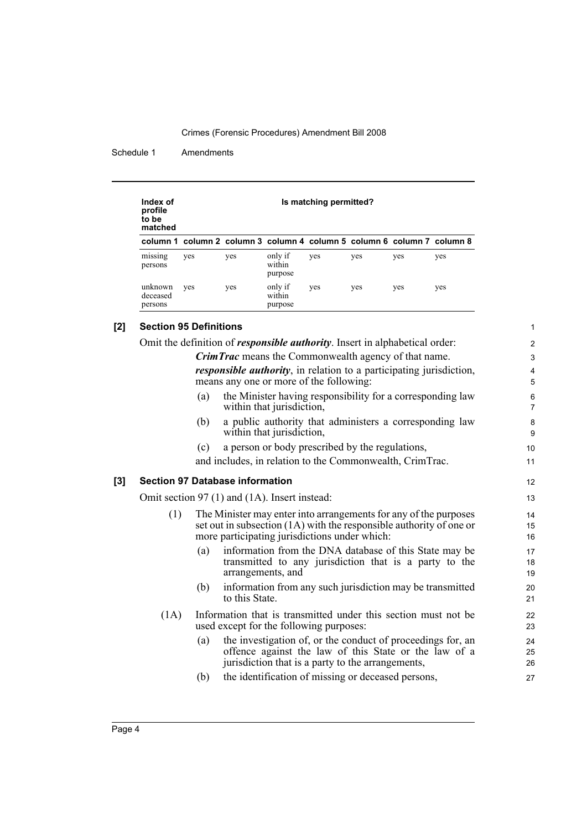Schedule 1 Amendments

| Index of<br>profile<br>to be<br>matched | Is matching permitted?                                                  |     |                              |     |     |     |     |
|-----------------------------------------|-------------------------------------------------------------------------|-----|------------------------------|-----|-----|-----|-----|
|                                         | column 1 column 2 column 3 column 4 column 5 column 6 column 7 column 8 |     |                              |     |     |     |     |
| $\sim$ $\sim$<br>missing<br>persons     | yes                                                                     | yes | only if<br>within<br>purpose | yes | yes | yes | yes |
| unknown<br>deceased<br>persons          | yes                                                                     | yes | only if<br>within<br>purpose | yes | yes | yes | yes |

#### **[2] Section 95 Definitions**

Omit the definition of *responsible authority*. Insert in alphabetical order: *CrimTrac* means the Commonwealth agency of that name. *responsible authority*, in relation to a participating jurisdiction, means any one or more of the following: (a) the Minister having responsibility for a corresponding law within that jurisdiction, (b) a public authority that administers a corresponding law within that jurisdiction,

(c) a person or body prescribed by the regulations,

and includes, in relation to the Commonwealth, CrimTrac.

#### **[3] Section 97 Database information**

Omit section 97 (1) and (1A). Insert instead:

- (1) The Minister may enter into arrangements for any of the purposes set out in subsection (1A) with the responsible authority of one or more participating jurisdictions under which:
	- (a) information from the DNA database of this State may be transmitted to any jurisdiction that is a party to the arrangements, and
	- (b) information from any such jurisdiction may be transmitted to this State.
- (1A) Information that is transmitted under this section must not be used except for the following purposes:
	- (a) the investigation of, or the conduct of proceedings for, an offence against the law of this State or the law of a jurisdiction that is a party to the arrangements,
	- (b) the identification of missing or deceased persons,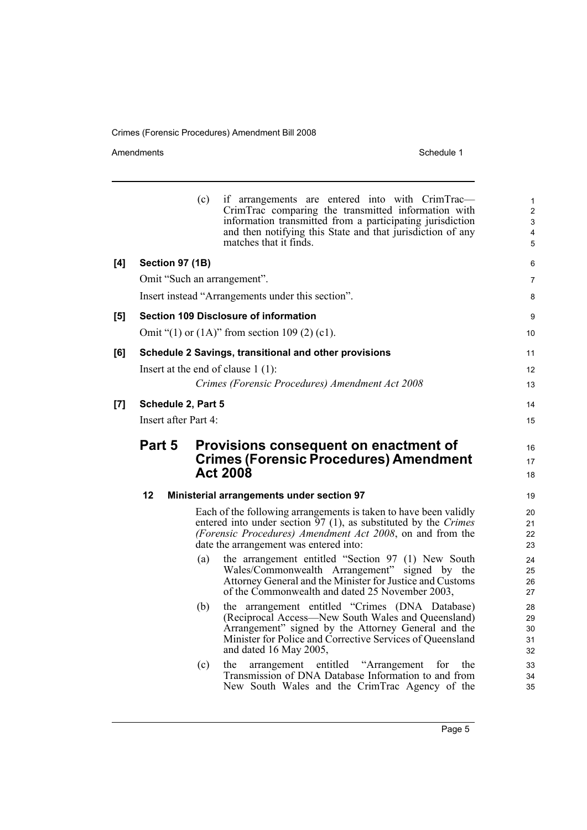#### Amendments Schedule 1

|     |        |                        | (c)                                                             | if arrangements are entered into with CrimTrac—<br>CrimTrac comparing the transmitted information with<br>information transmitted from a participating jurisdiction<br>and then notifying this State and that jurisdiction of any<br>matches that it finds. | 1<br>$\overline{2}$<br>$\mathsf 3$<br>4<br>5 |  |  |  |
|-----|--------|------------------------|-----------------------------------------------------------------|-------------------------------------------------------------------------------------------------------------------------------------------------------------------------------------------------------------------------------------------------------------|----------------------------------------------|--|--|--|
| [4] |        | <b>Section 97 (1B)</b> |                                                                 |                                                                                                                                                                                                                                                             | 6                                            |  |  |  |
|     |        |                        |                                                                 | Omit "Such an arrangement".                                                                                                                                                                                                                                 | 7                                            |  |  |  |
|     |        |                        |                                                                 | Insert instead "Arrangements under this section".                                                                                                                                                                                                           | 8                                            |  |  |  |
| [5] |        |                        |                                                                 | <b>Section 109 Disclosure of information</b>                                                                                                                                                                                                                | 9                                            |  |  |  |
|     |        |                        |                                                                 | Omit "(1) or $(1A)$ " from section 109 (2) (c1).                                                                                                                                                                                                            | 10                                           |  |  |  |
| [6] |        |                        |                                                                 | Schedule 2 Savings, transitional and other provisions                                                                                                                                                                                                       | 11                                           |  |  |  |
|     |        |                        |                                                                 | Insert at the end of clause $1(1)$ :                                                                                                                                                                                                                        | 12                                           |  |  |  |
|     |        |                        |                                                                 | Crimes (Forensic Procedures) Amendment Act 2008                                                                                                                                                                                                             | 13                                           |  |  |  |
| [7] |        | Schedule 2, Part 5     |                                                                 |                                                                                                                                                                                                                                                             | 14                                           |  |  |  |
|     |        | Insert after Part 4:   |                                                                 |                                                                                                                                                                                                                                                             | 15                                           |  |  |  |
|     | Part 5 |                        |                                                                 | Provisions consequent on enactment of                                                                                                                                                                                                                       | 16                                           |  |  |  |
|     |        |                        |                                                                 | <b>Crimes (Forensic Procedures) Amendment</b>                                                                                                                                                                                                               |                                              |  |  |  |
|     |        |                        |                                                                 | <b>Act 2008</b>                                                                                                                                                                                                                                             | 17<br>18                                     |  |  |  |
|     | 12     |                        |                                                                 | <b>Ministerial arrangements under section 97</b>                                                                                                                                                                                                            | 19                                           |  |  |  |
|     |        |                        |                                                                 | Each of the following arrangements is taken to have been validly                                                                                                                                                                                            | 20                                           |  |  |  |
|     |        |                        | entered into under section 97 (1), as substituted by the Crimes | 21                                                                                                                                                                                                                                                          |                                              |  |  |  |
|     |        |                        |                                                                 | (Forensic Procedures) Amendment Act 2008, on and from the<br>date the arrangement was entered into:                                                                                                                                                         | 22<br>23                                     |  |  |  |
|     |        |                        | (a)                                                             | the arrangement entitled "Section 97 (1) New South                                                                                                                                                                                                          | 24                                           |  |  |  |
|     |        |                        |                                                                 | Wales/Commonwealth Arrangement" signed by the<br>Attorney General and the Minister for Justice and Customs                                                                                                                                                  | 25<br>26                                     |  |  |  |
|     |        |                        |                                                                 | of the Commonwealth and dated 25 November 2003,                                                                                                                                                                                                             | 27                                           |  |  |  |
|     |        |                        | (b)                                                             | the arrangement entitled "Crimes (DNA Database)                                                                                                                                                                                                             | 28                                           |  |  |  |
|     |        |                        |                                                                 | (Reciprocal Access—New South Wales and Queensland)<br>Arrangement" signed by the Attorney General and the                                                                                                                                                   | 29<br>30                                     |  |  |  |
|     |        |                        |                                                                 | Minister for Police and Corrective Services of Queensland                                                                                                                                                                                                   | 31                                           |  |  |  |
|     |        |                        |                                                                 | and dated 16 May 2005,                                                                                                                                                                                                                                      | 32                                           |  |  |  |
|     |        |                        | (c)                                                             | arrangement entitled "Arrangement"<br>for<br>the<br>the<br>Transmission of DNA Database Information to and from                                                                                                                                             | 33<br>34                                     |  |  |  |
|     |        |                        |                                                                 |                                                                                                                                                                                                                                                             |                                              |  |  |  |
|     |        |                        |                                                                 | New South Wales and the CrimTrac Agency of the                                                                                                                                                                                                              | 35                                           |  |  |  |